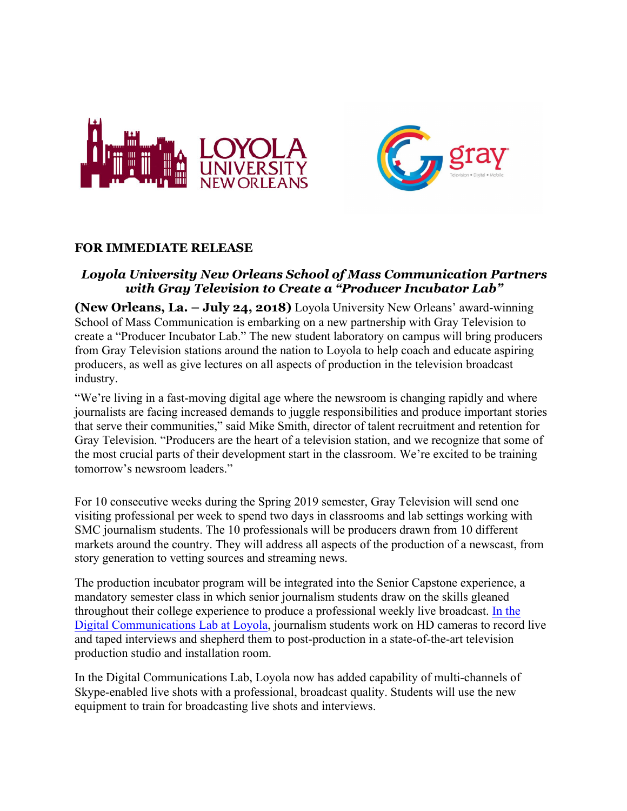



# **FOR IMMEDIATE RELEASE**

# *Loyola University New Orleans School of Mass Communication Partners with Gray Television to Create a "Producer Incubator Lab"*

**(New Orleans, La. – July 24, 2018)** Loyola University New Orleans' award-winning School of Mass Communication is embarking on a new partnership with Gray Television to create a "Producer Incubator Lab." The new student laboratory on campus will bring producers from Gray Television stations around the nation to Loyola to help coach and educate aspiring producers, as well as give lectures on all aspects of production in the television broadcast industry.

"We're living in a fast-moving digital age where the newsroom is changing rapidly and where journalists are facing increased demands to juggle responsibilities and produce important stories that serve their communities," said Mike Smith, director of talent recruitment and retention for Gray Television. "Producers are the heart of a television station, and we recognize that some of the most crucial parts of their development start in the classroom. We're excited to be training tomorrow's newsroom leaders."

For 10 consecutive weeks during the Spring 2019 semester, Gray Television will send one visiting professional per week to spend two days in classrooms and lab settings working with SMC journalism students. The 10 professionals will be producers drawn from 10 different markets around the country. They will address all aspects of the production of a newscast, from story generation to vetting sources and streaming news.

The production incubator program will be integrated into the Senior Capstone experience, a mandatory semester class in which senior journalism students draw on the skills gleaned throughout their college experience to produce a professional weekly live broadcast. In the Digital Communications Lab at Loyola, journalism students work on HD cameras to record live and taped interviews and shepherd them to post-production in a state-of-the-art television production studio and installation room.

In the Digital Communications Lab, Loyola now has added capability of multi-channels of Skype-enabled live shots with a professional, broadcast quality. Students will use the new equipment to train for broadcasting live shots and interviews.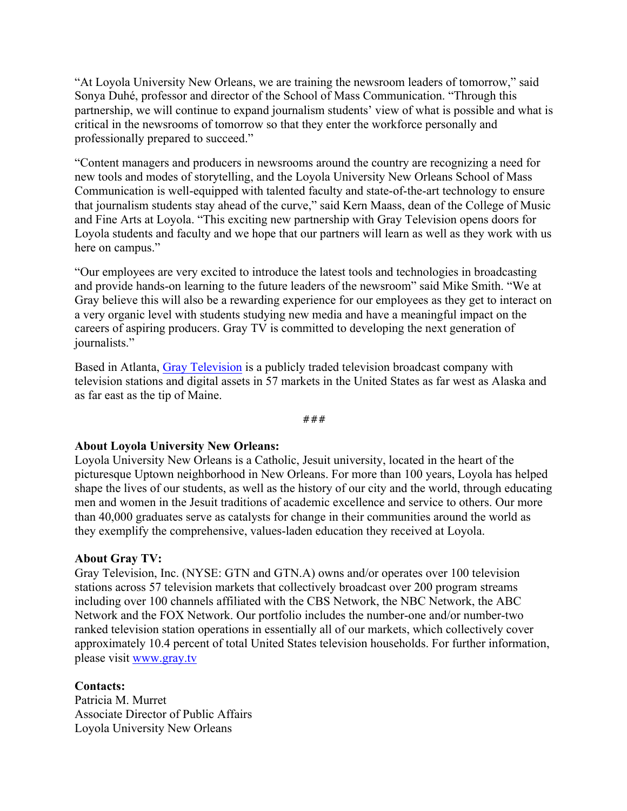"At Loyola University New Orleans, we are training the newsroom leaders of tomorrow," said Sonya Duhé, professor and director of the School of Mass Communication. "Through this partnership, we will continue to expand journalism students' view of what is possible and what is critical in the newsrooms of tomorrow so that they enter the workforce personally and professionally prepared to succeed."

"Content managers and producers in newsrooms around the country are recognizing a need for new tools and modes of storytelling, and the Loyola University New Orleans School of Mass Communication is well-equipped with talented faculty and state-of-the-art technology to ensure that journalism students stay ahead of the curve," said Kern Maass, dean of the College of Music and Fine Arts at Loyola. "This exciting new partnership with Gray Television opens doors for Loyola students and faculty and we hope that our partners will learn as well as they work with us here on campus."

"Our employees are very excited to introduce the latest tools and technologies in broadcasting and provide hands-on learning to the future leaders of the newsroom" said Mike Smith. "We at Gray believe this will also be a rewarding experience for our employees as they get to interact on a very organic level with students studying new media and have a meaningful impact on the careers of aspiring producers. Gray TV is committed to developing the next generation of journalists."

Based in Atlanta, Gray Television is a publicly traded television broadcast company with television stations and digital assets in 57 markets in the United States as far west as Alaska and as far east as the tip of Maine.

###

## **About Loyola University New Orleans:**

Loyola University New Orleans is a Catholic, Jesuit university, located in the heart of the picturesque Uptown neighborhood in New Orleans. For more than 100 years, Loyola has helped shape the lives of our students, as well as the history of our city and the world, through educating men and women in the Jesuit traditions of academic excellence and service to others. Our more than 40,000 graduates serve as catalysts for change in their communities around the world as they exemplify the comprehensive, values-laden education they received at Loyola.

## **About Gray TV:**

Gray Television, Inc. (NYSE: GTN and GTN.A) owns and/or operates over 100 television stations across 57 television markets that collectively broadcast over 200 program streams including over 100 channels affiliated with the CBS Network, the NBC Network, the ABC Network and the FOX Network. Our portfolio includes the number-one and/or number-two ranked television station operations in essentially all of our markets, which collectively cover approximately 10.4 percent of total United States television households. For further information, please visit www.gray.tv

## **Contacts:**

Patricia M. Murret Associate Director of Public Affairs Loyola University New Orleans